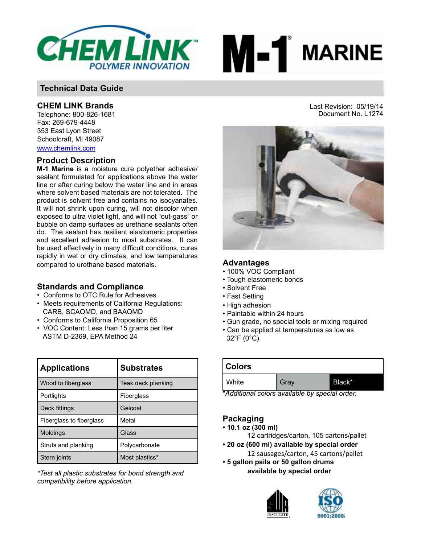



## **CHEM LINK Brands**

Telephone: 800-826-1681 Fax: 269-679-4448 353 East Lyon Street Schoolcraft, MI 49087 www.chemlink.com

## **Product Description**

**M-1 Marine** is a moisture cure polyether adhesive/ sealant formulated for applications above the water line or after curing below the water line and in areas where solvent based materials are not tolerated. The product is solvent free and contains no isocyanates. It will not shrink upon curing, will not discolor when exposed to ultra violet light, and will not "out-gass" or bubble on damp surfaces as urethane sealants often do. The sealant has resilient elastomeric properties and excellent adhesion to most substrates. It can be used effectively in many difficult conditions, cures rapidly in wet or dry climates, and low temperatures compared to urethane based materials.

## **Standards and Compliance**

- Conforms to OTC Rule for Adhesives
- Meets requirements of California Regulations: CARB, SCAQMD, and BAAQMD
- Conforms to California Proposition 65
- VOC Content: Less than 15 grams per liter ASTM D-2369, EPA Method 24

| <b>Applications</b>      | <b>Substrates</b>  |
|--------------------------|--------------------|
| Wood to fiberglass       | Teak deck planking |
| Portlights               | Fiberglass         |
| Deck fittings            | Gelcoat            |
| Fiberglass to fiberglass | Metal              |
| <b>Moldings</b>          | Glass              |
| Struts and planking      | Polycarbonate      |
| Stern joints             | Most plastics*     |

*\*Test all plastic substrates for bond strength and compatibility before application.*

Last Revision: 05/19/14 Document No. L1274



### **Advantages**

- 100% VOC Compliant
- Tough elastomeric bonds
- Solvent Free
- Fast Setting
- High adhesion
- Paintable within 24 hours
- Gun grade, no special tools or mixing required
- Can be applied at temperatures as low as 32°F (0°C)

| <b>Colors</b> |      |        |  |
|---------------|------|--------|--|
| White         | Gray | Black* |  |

\**Additional colors available by special order.*

## **Packaging**

- **10.1 oz (300 ml)**
	- 12 cartridges/carton, 105 cartons/pallet
- **20 oz (600 ml) available by special order** 12 sausages/carton, 45 cartons/pallet
- **5 gallon pails or 50 gallon drums available by special order**